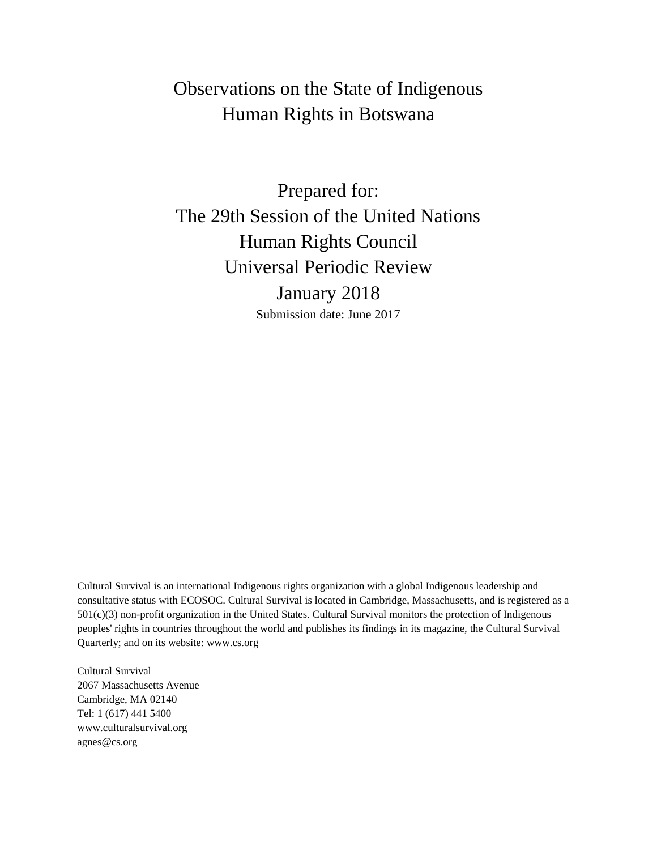# Observations on the State of Indigenous Human Rights in Botswana

Prepared for: The 29th Session of the United Nations Human Rights Council Universal Periodic Review January 2018 Submission date: June 2017

Cultural Survival is an international Indigenous rights organization with a global Indigenous leadership and consultative status with ECOSOC. Cultural Survival is located in Cambridge, Massachusetts, and is registered as a 501(c)(3) non-profit organization in the United States. Cultural Survival monitors the protection of Indigenous peoples' rights in countries throughout the world and publishes its findings in its magazine, the Cultural Survival Quarterly; and on its website: www.cs.org

Cultural Survival 2067 Massachusetts Avenue Cambridge, MA 02140 Tel: 1 (617) 441 5400 www.culturalsurvival.org agnes@cs.org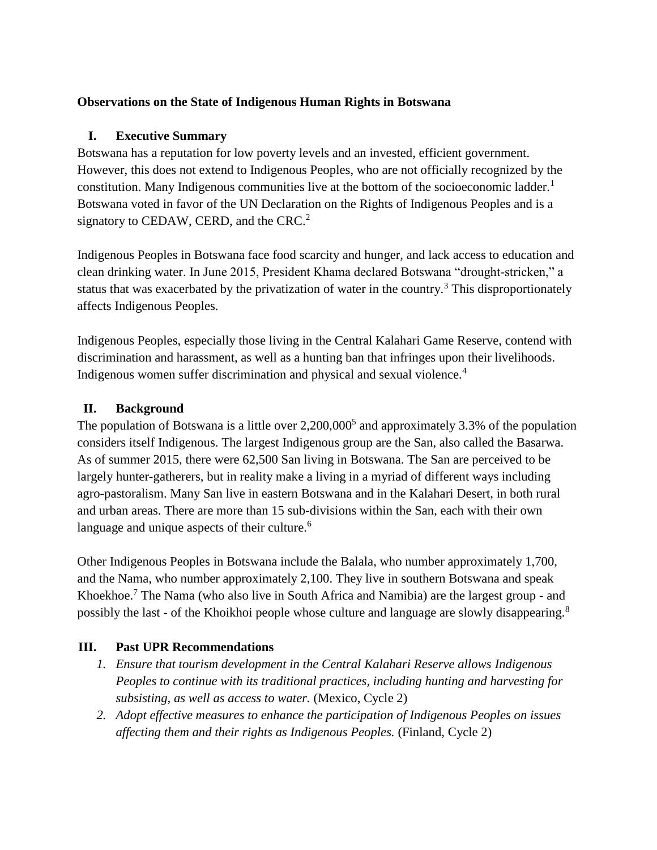### **Observations on the State of Indigenous Human Rights in Botswana**

### **I. Executive Summary**

Botswana has a reputation for low poverty levels and an invested, efficient government. However, this does not extend to Indigenous Peoples, who are not officially recognized by the constitution. Many Indigenous communities live at the bottom of the socioeconomic ladder.<sup>1</sup> Botswana voted in favor of the UN Declaration on the Rights of Indigenous Peoples and is a signatory to CEDAW, CERD, and the CRC.<sup>2</sup>

Indigenous Peoples in Botswana face food scarcity and hunger, and lack access to education and clean drinking water. In June 2015, President Khama declared Botswana "drought-stricken," a status that was exacerbated by the privatization of water in the country.<sup>3</sup> This disproportionately affects Indigenous Peoples.

Indigenous Peoples, especially those living in the Central Kalahari Game Reserve, contend with discrimination and harassment, as well as a hunting ban that infringes upon their livelihoods. Indigenous women suffer discrimination and physical and sexual violence.<sup>4</sup>

## **II. Background**

The population of Botswana is a little over  $2,200,000^5$  and approximately 3.3% of the population considers itself Indigenous. The largest Indigenous group are the San, also called the Basarwa. As of summer 2015, there were 62,500 San living in Botswana. The San are perceived to be largely hunter-gatherers, but in reality make a living in a myriad of different ways including agro-pastoralism. Many San live in eastern Botswana and in the Kalahari Desert, in both rural and urban areas. There are more than 15 sub-divisions within the San, each with their own language and unique aspects of their culture.<sup>6</sup>

Other Indigenous Peoples in Botswana include the Balala, who number approximately 1,700, and the Nama, who number approximately 2,100. They live in southern Botswana and speak Khoekhoe.<sup>7</sup> The Nama (who also live in South Africa and Namibia) are the largest group - and possibly the last - of the Khoikhoi people whose culture and language are slowly disappearing.<sup>8</sup>

## **III. Past UPR Recommendations**

- *1. Ensure that tourism development in the Central Kalahari Reserve allows Indigenous Peoples to continue with its traditional practices, including hunting and harvesting for subsisting, as well as access to water.* (Mexico, Cycle 2)
- *2. Adopt effective measures to enhance the participation of Indigenous Peoples on issues affecting them and their rights as Indigenous Peoples.* (Finland, Cycle 2)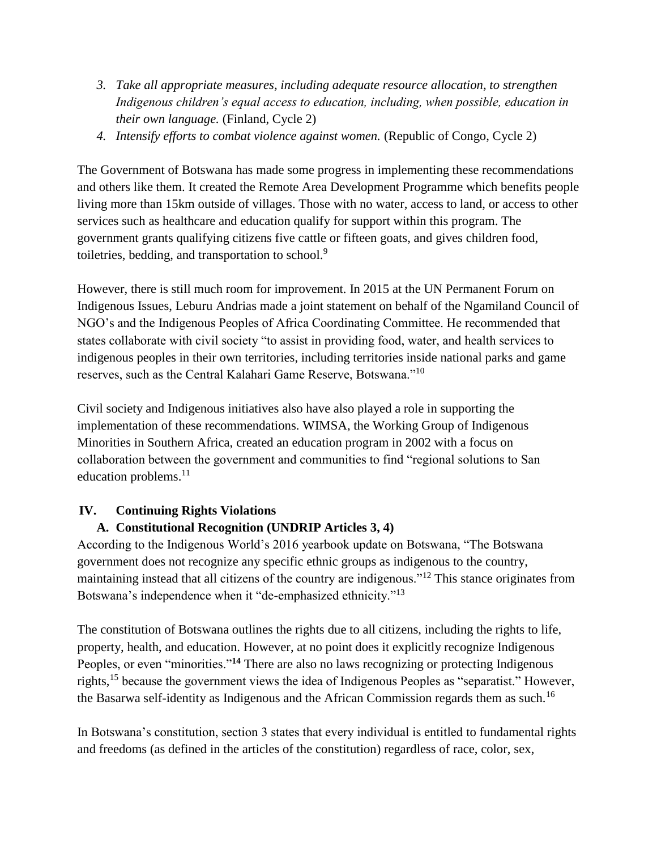- *3. Take all appropriate measures, including adequate resource allocation, to strengthen Indigenous children's equal access to education, including, when possible, education in their own language.* (Finland, Cycle 2)
- *4. Intensify efforts to combat violence against women.* (Republic of Congo, Cycle 2)

The Government of Botswana has made some progress in implementing these recommendations and others like them. It created the Remote Area Development Programme which benefits people living more than 15km outside of villages. Those with no water, access to land, or access to other services such as healthcare and education qualify for support within this program. The government grants qualifying citizens five cattle or fifteen goats, and gives children food, toiletries, bedding, and transportation to school.<sup>9</sup>

However, there is still much room for improvement. In 2015 at the UN Permanent Forum on Indigenous Issues, Leburu Andrias made a joint statement on behalf of the Ngamiland Council of NGO's and the Indigenous Peoples of Africa Coordinating Committee. He recommended that states collaborate with civil society "to assist in providing food, water, and health services to indigenous peoples in their own territories, including territories inside national parks and game reserves, such as the Central Kalahari Game Reserve, Botswana."<sup>10</sup>

Civil society and Indigenous initiatives also have also played a role in supporting the implementation of these recommendations. WIMSA, the Working Group of Indigenous Minorities in Southern Africa, created an education program in 2002 with a focus on collaboration between the government and communities to find "regional solutions to San education problems. $^{11}$ 

## **IV. Continuing Rights Violations**

## **A. Constitutional Recognition (UNDRIP Articles 3, 4)**

According to the Indigenous World's 2016 yearbook update on Botswana, "The Botswana government does not recognize any specific ethnic groups as indigenous to the country, maintaining instead that all citizens of the country are indigenous."<sup>12</sup> This stance originates from Botswana's independence when it "de-emphasized ethnicity."<sup>13</sup>

The constitution of Botswana outlines the rights due to all citizens, including the rights to life, property, health, and education. However, at no point does it explicitly recognize Indigenous Peoples, or even "minorities."**<sup>14</sup>** There are also no laws recognizing or protecting Indigenous rights,<sup>15</sup> because the government views the idea of Indigenous Peoples as "separatist." However, the Basarwa self-identity as Indigenous and the African Commission regards them as such.<sup>16</sup>

In Botswana's constitution, section 3 states that every individual is entitled to fundamental rights and freedoms (as defined in the articles of the constitution) regardless of race, color, sex,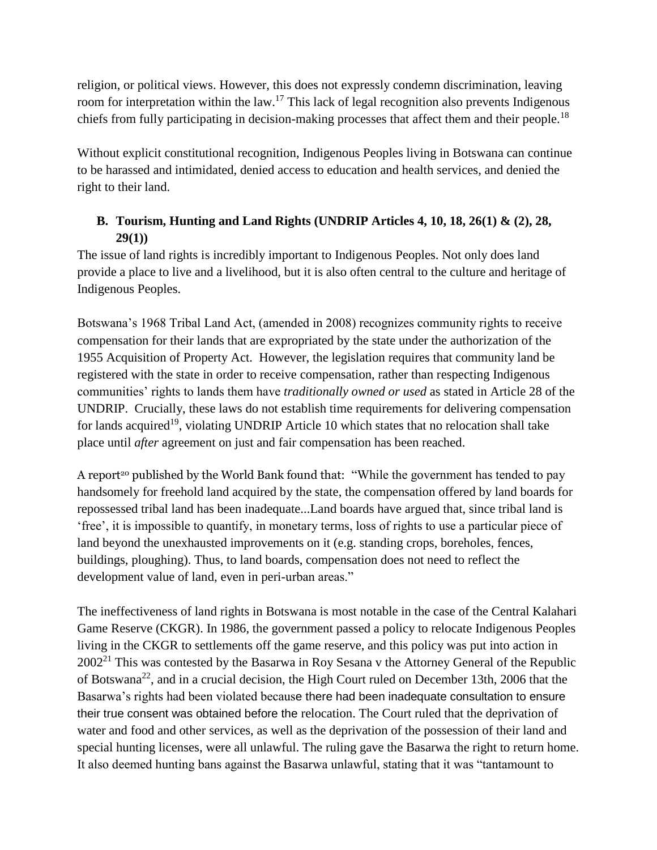religion, or political views. However, this does not expressly condemn discrimination, leaving room for interpretation within the law.<sup>17</sup> This lack of legal recognition also prevents Indigenous chiefs from fully participating in decision-making processes that affect them and their people.<sup>18</sup>

Without explicit constitutional recognition, Indigenous Peoples living in Botswana can continue to be harassed and intimidated, denied access to education and health services, and denied the right to their land.

## **B. Tourism, Hunting and Land Rights (UNDRIP Articles 4, 10, 18, 26(1) & (2), 28, 29(1))**

The issue of land rights is incredibly important to Indigenous Peoples. Not only does land provide a place to live and a livelihood, but it is also often central to the culture and heritage of Indigenous Peoples.

Botswana's 1968 Tribal Land Act, (amended in 2008) recognizes community rights to receive compensation for their lands that are expropriated by the state under the authorization of the 1955 Acquisition of Property Act. However, the legislation requires that community land be registered with the state in order to receive compensation, rather than respecting Indigenous communities' rights to lands them have *traditionally owned or used* as stated in Article 28 of the UNDRIP. Crucially, these laws do not establish time requirements for delivering compensation for lands acquired<sup>19</sup>, violating UNDRIP Article 10 which states that no relocation shall take place until *after* agreement on just and fair compensation has been reached.

A report<sup>20</sup> published by the World Bank found that: "While the government has tended to pay handsomely for freehold land acquired by the state, the compensation offered by land boards for repossessed tribal land has been inadequate...Land boards have argued that, since tribal land is 'free', it is impossible to quantify, in monetary terms, loss of rights to use a particular piece of land beyond the unexhausted improvements on it (e.g. standing crops, boreholes, fences, buildings, ploughing). Thus, to land boards, compensation does not need to reflect the development value of land, even in peri-urban areas."

The ineffectiveness of land rights in Botswana is most notable in the case of the Central Kalahari Game Reserve (CKGR). In 1986, the government passed a policy to relocate Indigenous Peoples living in the CKGR to settlements off the game reserve, and this policy was put into action in  $2002<sup>21</sup>$  This was contested by the Basarwa in Roy Sesana v the Attorney General of the Republic of Botswana<sup>22</sup>, and in a crucial decision, the High Court ruled on December 13th, 2006 that the Basarwa's rights had been violated because there had been inadequate consultation to ensure their true consent was obtained before the relocation. The Court ruled that the deprivation of water and food and other services, as well as the deprivation of the possession of their land and special hunting licenses, were all unlawful. The ruling gave the Basarwa the right to return home. It also deemed hunting bans against the Basarwa unlawful, stating that it was "tantamount to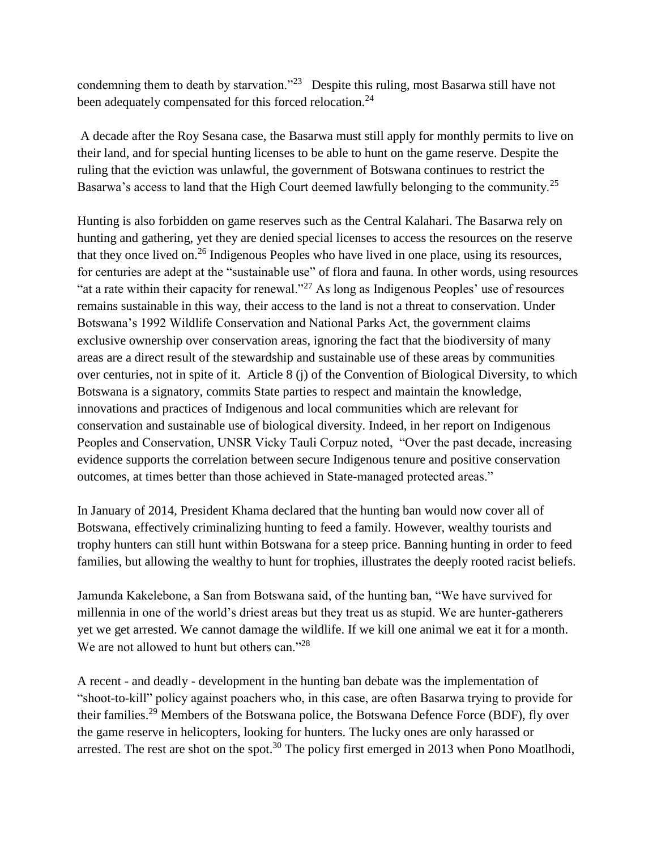condemning them to death by starvation."<sup>23</sup> Despite this ruling, most Basarwa still have not been adequately compensated for this forced relocation.<sup>24</sup>

A decade after the Roy Sesana case, the Basarwa must still apply for monthly permits to live on their land, and for special hunting licenses to be able to hunt on the game reserve. Despite the ruling that the eviction was unlawful, the government of Botswana continues to restrict the Basarwa's access to land that the High Court deemed lawfully belonging to the community.<sup>25</sup>

Hunting is also forbidden on game reserves such as the Central Kalahari. The Basarwa rely on hunting and gathering, yet they are denied special licenses to access the resources on the reserve that they once lived on.<sup>26</sup> Indigenous Peoples who have lived in one place, using its resources, for centuries are adept at the "sustainable use" of flora and fauna. In other words, using resources "at a rate within their capacity for renewal."<sup>27</sup> As long as Indigenous Peoples' use of resources remains sustainable in this way, their access to the land is not a threat to conservation. Under Botswana's 1992 Wildlife Conservation and National Parks Act, the government claims exclusive ownership over conservation areas, ignoring the fact that the biodiversity of many areas are a direct result of the stewardship and sustainable use of these areas by communities over centuries, not in spite of it. Article 8 (j) of the Convention of Biological Diversity, to which Botswana is a signatory, commits State parties to respect and maintain the knowledge, innovations and practices of Indigenous and local communities which are relevant for conservation and sustainable use of biological diversity. Indeed, in her report on Indigenous Peoples and Conservation, UNSR Vicky Tauli Corpuz noted, "Over the past decade, increasing evidence supports the correlation between secure Indigenous tenure and positive conservation outcomes, at times better than those achieved in State-managed protected areas."

In January of 2014, President Khama declared that the hunting ban would now cover all of Botswana, effectively criminalizing hunting to feed a family. However, wealthy tourists and trophy hunters can still hunt within Botswana for a steep price. Banning hunting in order to feed families, but allowing the wealthy to hunt for trophies, illustrates the deeply rooted racist beliefs.

Jamunda Kakelebone, a San from Botswana said, of the hunting ban, "We have survived for millennia in one of the world's driest areas but they treat us as stupid. We are hunter-gatherers yet we get arrested. We cannot damage the wildlife. If we kill one animal we eat it for a month. We are not allowed to hunt but others can."<sup>28</sup>

A recent - and deadly - development in the hunting ban debate was the implementation of "shoot-to-kill" policy against poachers who, in this case, are often Basarwa trying to provide for their families.<sup>29</sup> Members of the Botswana police, the Botswana Defence Force (BDF), fly over the game reserve in helicopters, looking for hunters. The lucky ones are only harassed or arrested. The rest are shot on the spot.<sup>30</sup> The policy first emerged in 2013 when Pono Moatlhodi,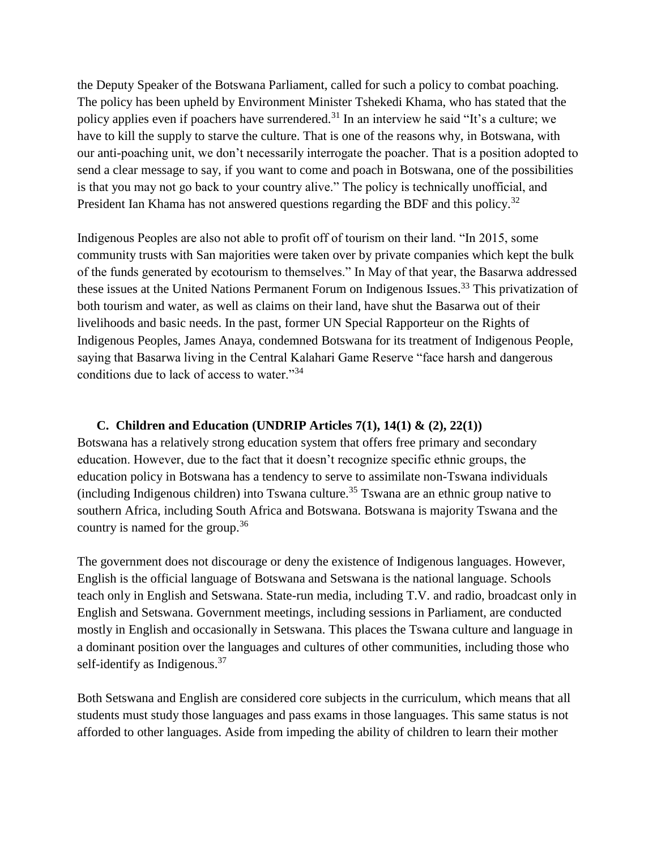the Deputy Speaker of the Botswana Parliament, called for such a policy to combat poaching. The policy has been upheld by Environment Minister Tshekedi Khama, who has stated that the policy applies even if poachers have surrendered.<sup>31</sup> In an interview he said "It's a culture; we have to kill the supply to starve the culture. That is one of the reasons why, in Botswana, with our anti-poaching unit, we don't necessarily interrogate the poacher. That is a position adopted to send a clear message to say, if you want to come and poach in Botswana, one of the possibilities is that you may not go back to your country alive." The policy is technically unofficial, and President Ian Khama has not answered questions regarding the BDF and this policy.<sup>32</sup>

Indigenous Peoples are also not able to profit off of tourism on their land. "In 2015, some community trusts with San majorities were taken over by private companies which kept the bulk of the funds generated by ecotourism to themselves." In May of that year, the Basarwa addressed these issues at the United Nations Permanent Forum on Indigenous Issues.<sup>33</sup> This privatization of both tourism and water, as well as claims on their land, have shut the Basarwa out of their livelihoods and basic needs. In the past, former UN Special Rapporteur on the Rights of Indigenous Peoples, James Anaya, condemned Botswana for its treatment of Indigenous People, saying that Basarwa living in the Central Kalahari Game Reserve "face harsh and dangerous conditions due to lack of access to water."<sup>34</sup>

### **C. Children and Education (UNDRIP Articles 7(1), 14(1) & (2), 22(1))**

Botswana has a relatively strong education system that offers free primary and secondary education. However, due to the fact that it doesn't recognize specific ethnic groups, the education policy in Botswana has a tendency to serve to assimilate non-Tswana individuals (including Indigenous children) into Tswana culture.<sup>35</sup> Tswana are an ethnic group native to southern Africa, including South Africa and Botswana. Botswana is majority Tswana and the country is named for the group.<sup>36</sup>

The government does not discourage or deny the existence of Indigenous languages. However, English is the official language of Botswana and Setswana is the national language. Schools teach only in English and Setswana. State-run media, including T.V. and radio, broadcast only in English and Setswana. Government meetings, including sessions in Parliament, are conducted mostly in English and occasionally in Setswana. This places the Tswana culture and language in a dominant position over the languages and cultures of other communities, including those who self-identify as Indigenous.<sup>37</sup>

Both Setswana and English are considered core subjects in the curriculum, which means that all students must study those languages and pass exams in those languages. This same status is not afforded to other languages. Aside from impeding the ability of children to learn their mother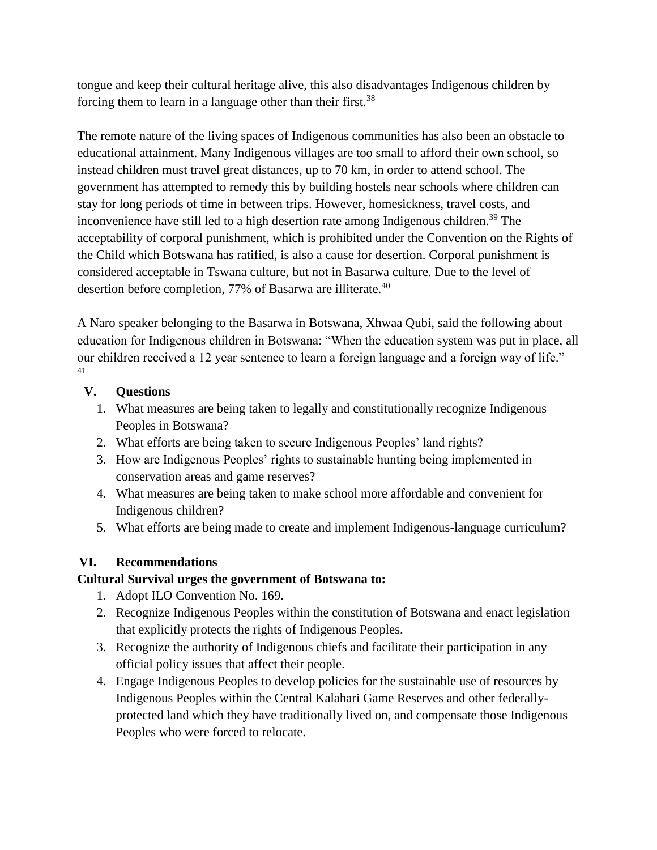tongue and keep their cultural heritage alive, this also disadvantages Indigenous children by forcing them to learn in a language other than their first.<sup>38</sup>

The remote nature of the living spaces of Indigenous communities has also been an obstacle to educational attainment. Many Indigenous villages are too small to afford their own school, so instead children must travel great distances, up to 70 km, in order to attend school. The government has attempted to remedy this by building hostels near schools where children can stay for long periods of time in between trips. However, homesickness, travel costs, and inconvenience have still led to a high desertion rate among Indigenous children.<sup>39</sup> The acceptability of corporal punishment, which is prohibited under the Convention on the Rights of the Child which Botswana has ratified, is also a cause for desertion. Corporal punishment is considered acceptable in Tswana culture, but not in Basarwa culture. Due to the level of desertion before completion, 77% of Basarwa are illiterate.<sup>40</sup>

A Naro speaker belonging to the Basarwa in Botswana, Xhwaa Qubi, said the following about education for Indigenous children in Botswana: "When the education system was put in place, all our children received a 12 year sentence to learn a foreign language and a foreign way of life." 41

#### **V. Questions**

- 1. What measures are being taken to legally and constitutionally recognize Indigenous Peoples in Botswana?
- 2. What efforts are being taken to secure Indigenous Peoples' land rights?
- 3. How are Indigenous Peoples' rights to sustainable hunting being implemented in conservation areas and game reserves?
- 4. What measures are being taken to make school more affordable and convenient for Indigenous children?
- 5. What efforts are being made to create and implement Indigenous-language curriculum?

## **VI. Recommendations**

#### **Cultural Survival urges the government of Botswana to:**

- 1. Adopt ILO Convention No. 169.
- 2. Recognize Indigenous Peoples within the constitution of Botswana and enact legislation that explicitly protects the rights of Indigenous Peoples.
- 3. Recognize the authority of Indigenous chiefs and facilitate their participation in any official policy issues that affect their people.
- 4. Engage Indigenous Peoples to develop policies for the sustainable use of resources by Indigenous Peoples within the Central Kalahari Game Reserves and other federallyprotected land which they have traditionally lived on, and compensate those Indigenous Peoples who were forced to relocate.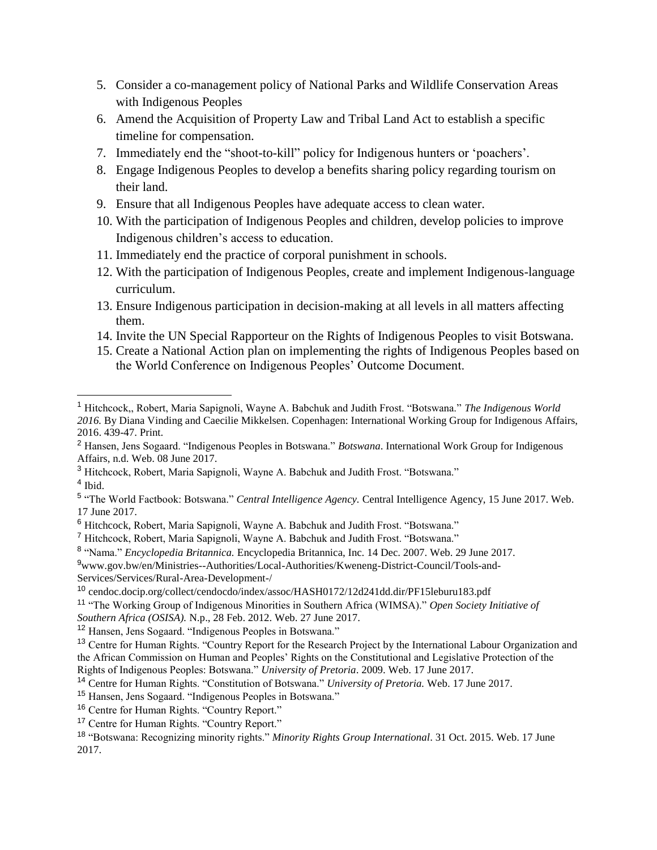- 5. Consider a co-management policy of National Parks and Wildlife Conservation Areas with Indigenous Peoples
- 6. Amend the Acquisition of Property Law and Tribal Land Act to establish a specific timeline for compensation.
- 7. Immediately end the "shoot-to-kill" policy for Indigenous hunters or 'poachers'.
- 8. Engage Indigenous Peoples to develop a benefits sharing policy regarding tourism on their land.
- 9. Ensure that all Indigenous Peoples have adequate access to clean water.
- 10. With the participation of Indigenous Peoples and children, develop policies to improve Indigenous children's access to education.
- 11. Immediately end the practice of corporal punishment in schools.
- 12. With the participation of Indigenous Peoples, create and implement Indigenous-language curriculum.
- 13. Ensure Indigenous participation in decision-making at all levels in all matters affecting them.
- 14. Invite the UN Special Rapporteur on the Rights of Indigenous Peoples to visit Botswana.
- 15. Create a National Action plan on implementing the rights of Indigenous Peoples based on the World Conference on Indigenous Peoples' Outcome Document.

<sup>3</sup> Hitchcock, Robert, Maria Sapignoli, Wayne A. Babchuk and Judith Frost. "Botswana." 4 Ibid.

<sup>9</sup>www.gov.bw/en/Ministries--Authorities/Local-Authorities/Kweneng-District-Council/Tools-and-Services/Services/Rural-Area-Development-/

 $\overline{a}$ 

<sup>1</sup> Hitchcock,, Robert, Maria Sapignoli, Wayne A. Babchuk and Judith Frost. "Botswana." *The Indigenous World 2016.* By Diana Vinding and Caecilie Mikkelsen. Copenhagen: International Working Group for Indigenous Affairs, 2016. 439-47. Print.

<sup>2</sup> Hansen, Jens Sogaard. "Indigenous Peoples in Botswana." *Botswana*. International Work Group for Indigenous Affairs, n.d. Web. 08 June 2017.

<sup>5</sup> "The World Factbook: Botswana." *Central Intelligence Agency.* Central Intelligence Agency, 15 June 2017. Web. 17 June 2017.

<sup>6</sup> Hitchcock, Robert, Maria Sapignoli, Wayne A. Babchuk and Judith Frost. "Botswana."

<sup>7</sup> Hitchcock, Robert, Maria Sapignoli, Wayne A. Babchuk and Judith Frost. "Botswana."

<sup>8</sup> "Nama." *Encyclopedia Britannica.* Encyclopedia Britannica, Inc. 14 Dec. 2007. Web. 29 June 2017.

<sup>10</sup> cendoc.docip.org/collect/cendocdo/index/assoc/HASH0172/12d241dd.dir/PF15leburu183.pdf

<sup>11</sup> "The Working Group of Indigenous Minorities in Southern Africa (WIMSA)." *Open Society Initiative of Southern Africa (OSISA).* N.p., 28 Feb. 2012. Web. 27 June 2017.

<sup>12</sup> Hansen, Jens Sogaard. "Indigenous Peoples in Botswana."

<sup>&</sup>lt;sup>13</sup> Centre for Human Rights. "Country Report for the Research Project by the International Labour Organization and the African Commission on Human and Peoples' Rights on the Constitutional and Legislative Protection of the Rights of Indigenous Peoples: Botswana." *University of Pretoria*. 2009. Web. 17 June 2017.

<sup>14</sup> Centre for Human Rights. "Constitution of Botswana." *University of Pretoria.* Web. 17 June 2017.

<sup>15</sup> Hansen, Jens Sogaard. "Indigenous Peoples in Botswana."

<sup>16</sup> Centre for Human Rights. "Country Report."

<sup>17</sup> Centre for Human Rights. "Country Report."

<sup>18</sup> "Botswana: Recognizing minority rights." *Minority Rights Group International*. 31 Oct. 2015. Web. 17 June 2017.